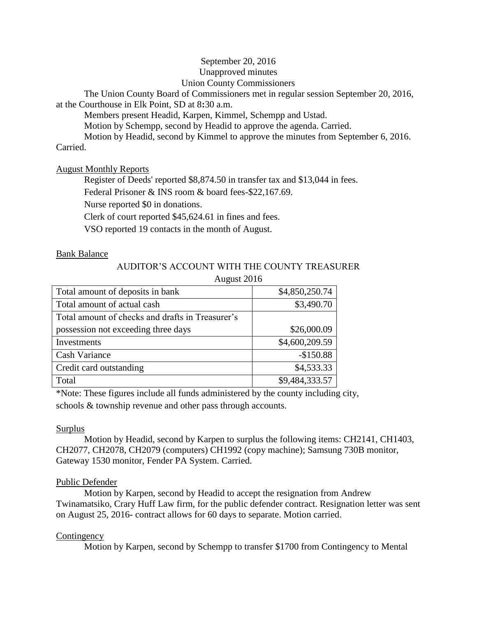## September 20, 2016 Unapproved minutes Union County Commissioners

The Union County Board of Commissioners met in regular session September 20, 2016, at the Courthouse in Elk Point, SD at 8**:**30 a.m.

Members present Headid, Karpen, Kimmel, Schempp and Ustad.

Motion by Schempp, second by Headid to approve the agenda. Carried.

Motion by Headid, second by Kimmel to approve the minutes from September 6, 2016. Carried.

August Monthly Reports

Register of Deeds' reported \$8,874.50 in transfer tax and \$13,044 in fees.

Federal Prisoner & INS room & board fees-\$22,167.69.

Nurse reported \$0 in donations.

Clerk of court reported \$45,624.61 in fines and fees.

VSO reported 19 contacts in the month of August.

## Bank Balance

# AUDITOR'S ACCOUNT WITH THE COUNTY TREASURER

August 2016

| Total amount of deposits in bank                 | \$4,850,250.74 |
|--------------------------------------------------|----------------|
| Total amount of actual cash                      | \$3,490.70     |
| Total amount of checks and drafts in Treasurer's |                |
| possession not exceeding three days              | \$26,000.09    |
| Investments                                      | \$4,600,209.59 |
| Cash Variance                                    | $-$150.88$     |
| Credit card outstanding                          | \$4,533.33     |
| Total                                            | \$9,484,333.57 |

\*Note: These figures include all funds administered by the county including city, schools & township revenue and other pass through accounts.

### Surplus

Motion by Headid, second by Karpen to surplus the following items: CH2141, CH1403, CH2077, CH2078, CH2079 (computers) CH1992 (copy machine); Samsung 730B monitor, Gateway 1530 monitor, Fender PA System. Carried.

## Public Defender

Motion by Karpen, second by Headid to accept the resignation from Andrew Twinamatsiko, Crary Huff Law firm, for the public defender contract. Resignation letter was sent on August 25, 2016- contract allows for 60 days to separate. Motion carried.

## **Contingency**

Motion by Karpen, second by Schempp to transfer \$1700 from Contingency to Mental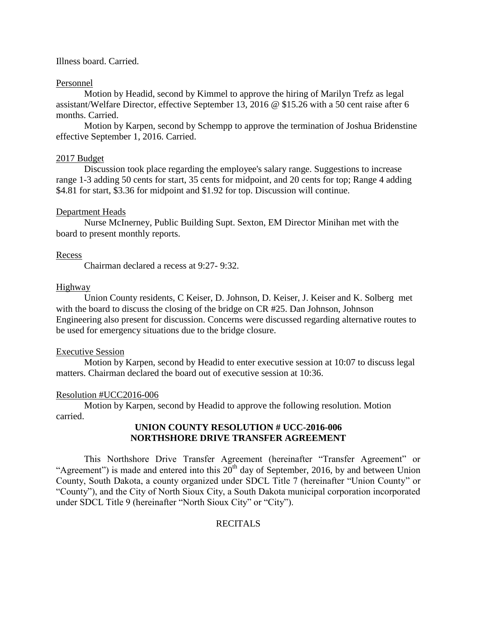#### Illness board. Carried.

#### Personnel

Motion by Headid, second by Kimmel to approve the hiring of Marilyn Trefz as legal assistant/Welfare Director, effective September 13, 2016 @ \$15.26 with a 50 cent raise after 6 months. Carried.

Motion by Karpen, second by Schempp to approve the termination of Joshua Bridenstine effective September 1, 2016. Carried.

#### 2017 Budget

Discussion took place regarding the employee's salary range. Suggestions to increase range 1-3 adding 50 cents for start, 35 cents for midpoint, and 20 cents for top; Range 4 adding \$4.81 for start, \$3.36 for midpoint and \$1.92 for top. Discussion will continue.

#### Department Heads

Nurse McInerney, Public Building Supt. Sexton, EM Director Minihan met with the board to present monthly reports.

#### Recess

Chairman declared a recess at 9:27- 9:32.

#### Highway

Union County residents, C Keiser, D. Johnson, D. Keiser, J. Keiser and K. Solberg met with the board to discuss the closing of the bridge on CR #25. Dan Johnson, Johnson Engineering also present for discussion. Concerns were discussed regarding alternative routes to be used for emergency situations due to the bridge closure.

#### Executive Session

Motion by Karpen, second by Headid to enter executive session at 10:07 to discuss legal matters. Chairman declared the board out of executive session at 10:36.

#### Resolution #UCC2016-006

Motion by Karpen, second by Headid to approve the following resolution. Motion carried.

## **UNION COUNTY RESOLUTION # UCC-2016-006 NORTHSHORE DRIVE TRANSFER AGREEMENT**

This Northshore Drive Transfer Agreement (hereinafter "Transfer Agreement" or "Agreement") is made and entered into this  $20^{th}$  day of September, 2016, by and between Union County, South Dakota, a county organized under SDCL Title 7 (hereinafter "Union County" or "County"), and the City of North Sioux City, a South Dakota municipal corporation incorporated under SDCL Title 9 (hereinafter "North Sioux City" or "City").

### **RECITALS**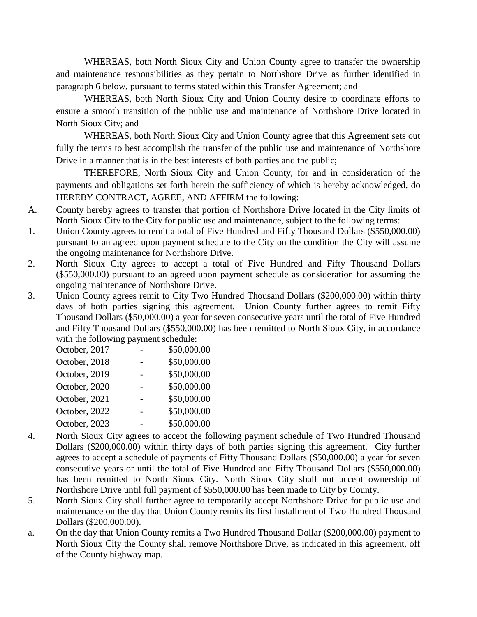WHEREAS, both North Sioux City and Union County agree to transfer the ownership and maintenance responsibilities as they pertain to Northshore Drive as further identified in paragraph 6 below, pursuant to terms stated within this Transfer Agreement; and

WHEREAS, both North Sioux City and Union County desire to coordinate efforts to ensure a smooth transition of the public use and maintenance of Northshore Drive located in North Sioux City; and

WHEREAS, both North Sioux City and Union County agree that this Agreement sets out fully the terms to best accomplish the transfer of the public use and maintenance of Northshore Drive in a manner that is in the best interests of both parties and the public;

THEREFORE, North Sioux City and Union County, for and in consideration of the payments and obligations set forth herein the sufficiency of which is hereby acknowledged, do HEREBY CONTRACT, AGREE, AND AFFIRM the following:

- A. County hereby agrees to transfer that portion of Northshore Drive located in the City limits of North Sioux City to the City for public use and maintenance, subject to the following terms:
- 1. Union County agrees to remit a total of Five Hundred and Fifty Thousand Dollars (\$550,000.00) pursuant to an agreed upon payment schedule to the City on the condition the City will assume the ongoing maintenance for Northshore Drive.
- 2. North Sioux City agrees to accept a total of Five Hundred and Fifty Thousand Dollars (\$550,000.00) pursuant to an agreed upon payment schedule as consideration for assuming the ongoing maintenance of Northshore Drive.
- 3. Union County agrees remit to City Two Hundred Thousand Dollars (\$200,000.00) within thirty days of both parties signing this agreement. Union County further agrees to remit Fifty Thousand Dollars (\$50,000.00) a year for seven consecutive years until the total of Five Hundred and Fifty Thousand Dollars (\$550,000.00) has been remitted to North Sioux City, in accordance with the following payment schedule:

| October, 2017 | \$50,000.00 |
|---------------|-------------|
| October, 2018 | \$50,000.00 |
| October, 2019 | \$50,000.00 |
| October, 2020 | \$50,000.00 |
| October, 2021 | \$50,000.00 |
| October, 2022 | \$50,000.00 |
| October, 2023 | \$50,000.00 |
|               |             |

- 4. North Sioux City agrees to accept the following payment schedule of Two Hundred Thousand Dollars (\$200,000.00) within thirty days of both parties signing this agreement. City further agrees to accept a schedule of payments of Fifty Thousand Dollars (\$50,000.00) a year for seven consecutive years or until the total of Five Hundred and Fifty Thousand Dollars (\$550,000.00) has been remitted to North Sioux City. North Sioux City shall not accept ownership of Northshore Drive until full payment of \$550,000.00 has been made to City by County.
- 5. North Sioux City shall further agree to temporarily accept Northshore Drive for public use and maintenance on the day that Union County remits its first installment of Two Hundred Thousand Dollars (\$200,000.00).
- a. On the day that Union County remits a Two Hundred Thousand Dollar (\$200,000.00) payment to North Sioux City the County shall remove Northshore Drive, as indicated in this agreement, off of the County highway map.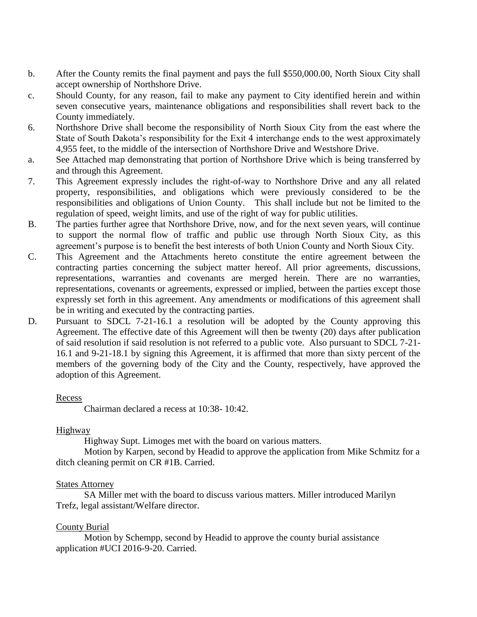- b. After the County remits the final payment and pays the full \$550,000.00, North Sioux City shall accept ownership of Northshore Drive.
- c. Should County, for any reason, fail to make any payment to City identified herein and within seven consecutive years, maintenance obligations and responsibilities shall revert back to the County immediately.
- 6. Northshore Drive shall become the responsibility of North Sioux City from the east where the State of South Dakota's responsibility for the Exit 4 interchange ends to the west approximately 4,955 feet, to the middle of the intersection of Northshore Drive and Westshore Drive.
- a. See Attached map demonstrating that portion of Northshore Drive which is being transferred by and through this Agreement.
- 7. This Agreement expressly includes the right-of-way to Northshore Drive and any all related property, responsibilities, and obligations which were previously considered to be the responsibilities and obligations of Union County. This shall include but not be limited to the regulation of speed, weight limits, and use of the right of way for public utilities.
- B. The parties further agree that Northshore Drive, now, and for the next seven years, will continue to support the normal flow of traffic and public use through North Sioux City, as this agreement's purpose is to benefit the best interests of both Union County and North Sioux City.
- C. This Agreement and the Attachments hereto constitute the entire agreement between the contracting parties concerning the subject matter hereof. All prior agreements, discussions, representations, warranties and covenants are merged herein. There are no warranties, representations, covenants or agreements, expressed or implied, between the parties except those expressly set forth in this agreement. Any amendments or modifications of this agreement shall be in writing and executed by the contracting parties.
- D. Pursuant to SDCL 7-21-16.1 a resolution will be adopted by the County approving this Agreement. The effective date of this Agreement will then be twenty (20) days after publication of said resolution if said resolution is not referred to a public vote. Also pursuant to SDCL 7-21- 16.1 and 9-21-18.1 by signing this Agreement, it is affirmed that more than sixty percent of the members of the governing body of the City and the County, respectively, have approved the adoption of this Agreement.

### Recess

Chairman declared a recess at 10:38- 10:42.

### **Highway**

Highway Supt. Limoges met with the board on various matters.

Motion by Karpen, second by Headid to approve the application from Mike Schmitz for a ditch cleaning permit on CR #1B. Carried.

#### **States Attorney**

SA Miller met with the board to discuss various matters. Miller introduced Marilyn Trefz, legal assistant/Welfare director.

## County Burial

Motion by Schempp, second by Headid to approve the county burial assistance application #UCI 2016-9-20. Carried.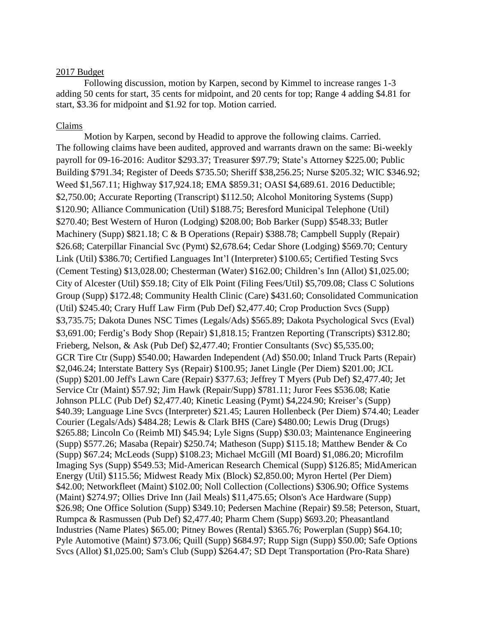#### 2017 Budget

Following discussion, motion by Karpen, second by Kimmel to increase ranges 1-3 adding 50 cents for start, 35 cents for midpoint, and 20 cents for top; Range 4 adding \$4.81 for start, \$3.36 for midpoint and \$1.92 for top. Motion carried.

#### Claims

Motion by Karpen, second by Headid to approve the following claims. Carried. The following claims have been audited, approved and warrants drawn on the same: Bi-weekly payroll for 09-16-2016: Auditor \$293.37; Treasurer \$97.79; State's Attorney \$225.00; Public Building \$791.34; Register of Deeds \$735.50; Sheriff \$38,256.25; Nurse \$205.32; WIC \$346.92; Weed \$1,567.11; Highway \$17,924.18; EMA \$859.31; OASI \$4,689.61. 2016 Deductible; \$2,750.00; Accurate Reporting (Transcript) \$112.50; Alcohol Monitoring Systems (Supp) \$120.90; Alliance Communication (Util) \$188.75; Beresford Municipal Telephone (Util) \$270.40; Best Western of Huron (Lodging) \$208.00; Bob Barker (Supp) \$548.33; Butler Machinery (Supp) \$821.18; C & B Operations (Repair) \$388.78; Campbell Supply (Repair) \$26.68; Caterpillar Financial Svc (Pymt) \$2,678.64; Cedar Shore (Lodging) \$569.70; Century Link (Util) \$386.70; Certified Languages Int'l (Interpreter) \$100.65; Certified Testing Svcs (Cement Testing) \$13,028.00; Chesterman (Water) \$162.00; Children's Inn (Allot) \$1,025.00; City of Alcester (Util) \$59.18; City of Elk Point (Filing Fees/Util) \$5,709.08; Class C Solutions Group (Supp) \$172.48; Community Health Clinic (Care) \$431.60; Consolidated Communication (Util) \$245.40; Crary Huff Law Firm (Pub Def) \$2,477.40; Crop Production Svcs (Supp) \$3,735.75; Dakota Dunes NSC Times (Legals/Ads) \$565.89; Dakota Psychological Svcs (Eval) \$3,691.00; Ferdig's Body Shop (Repair) \$1,818.15; Frantzen Reporting (Transcripts) \$312.80; Frieberg, Nelson, & Ask (Pub Def) \$2,477.40; Frontier Consultants (Svc) \$5,535.00; GCR Tire Ctr (Supp) \$540.00; Hawarden Independent (Ad) \$50.00; Inland Truck Parts (Repair) \$2,046.24; Interstate Battery Sys (Repair) \$100.95; Janet Lingle (Per Diem) \$201.00; JCL (Supp) \$201.00 Jeff's Lawn Care (Repair) \$377.63; Jeffrey T Myers (Pub Def) \$2,477.40; Jet Service Ctr (Maint) \$57.92; Jim Hawk (Repair/Supp) \$781.11; Juror Fees \$536.08; Katie Johnson PLLC (Pub Def) \$2,477.40; Kinetic Leasing (Pymt) \$4,224.90; Kreiser's (Supp) \$40.39; Language Line Svcs (Interpreter) \$21.45; Lauren Hollenbeck (Per Diem) \$74.40; Leader Courier (Legals/Ads) \$484.28; Lewis & Clark BHS (Care) \$480.00; Lewis Drug (Drugs) \$265.88; Lincoln Co (Reimb MI) \$45.94; Lyle Signs (Supp) \$30.03; Maintenance Engineering (Supp) \$577.26; Masaba (Repair) \$250.74; Matheson (Supp) \$115.18; Matthew Bender & Co (Supp) \$67.24; McLeods (Supp) \$108.23; Michael McGill (MI Board) \$1,086.20; Microfilm Imaging Sys (Supp) \$549.53; Mid-American Research Chemical (Supp) \$126.85; MidAmerican Energy (Util) \$115.56; Midwest Ready Mix (Block) \$2,850.00; Myron Hertel (Per Diem) \$42.00; Networkfleet (Maint) \$102.00; Noll Collection (Collections) \$306.90; Office Systems (Maint) \$274.97; Ollies Drive Inn (Jail Meals) \$11,475.65; Olson's Ace Hardware (Supp) \$26.98; One Office Solution (Supp) \$349.10; Pedersen Machine (Repair) \$9.58; Peterson, Stuart, Rumpca & Rasmussen (Pub Def) \$2,477.40; Pharm Chem (Supp) \$693.20; Pheasantland Industries (Name Plates) \$65.00; Pitney Bowes (Rental) \$365.76; Powerplan (Supp) \$64.10; Pyle Automotive (Maint) \$73.06; Quill (Supp) \$684.97; Rupp Sign (Supp) \$50.00; Safe Options Svcs (Allot) \$1,025.00; Sam's Club (Supp) \$264.47; SD Dept Transportation (Pro-Rata Share)